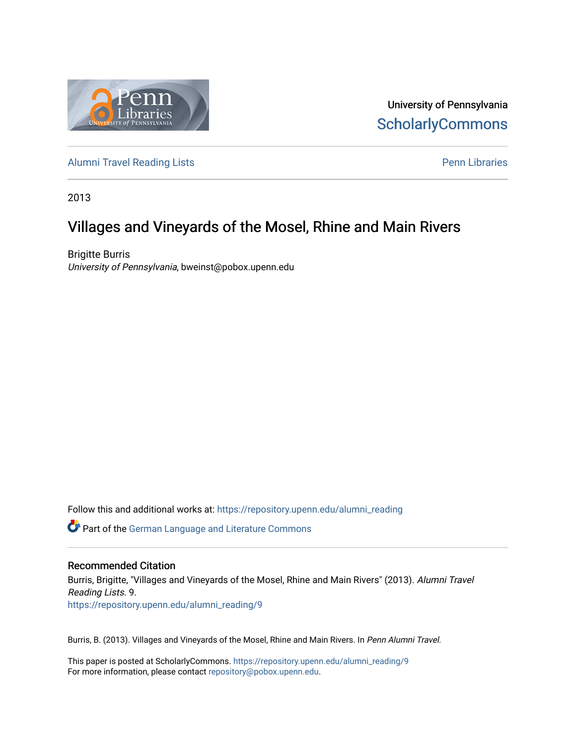

University of Pennsylvania **ScholarlyCommons** 

[Alumni Travel Reading Lists](https://repository.upenn.edu/alumni_reading) **Pennish Containers** [Penn Libraries](https://repository.upenn.edu/library) **Pennish Containers** 

2013

# Villages and Vineyards of the Mosel, Rhine and Main Rivers

Brigitte Burris University of Pennsylvania, bweinst@pobox.upenn.edu

Follow this and additional works at: [https://repository.upenn.edu/alumni\\_reading](https://repository.upenn.edu/alumni_reading?utm_source=repository.upenn.edu%2Falumni_reading%2F9&utm_medium=PDF&utm_campaign=PDFCoverPages)

Part of the [German Language and Literature Commons](http://network.bepress.com/hgg/discipline/467?utm_source=repository.upenn.edu%2Falumni_reading%2F9&utm_medium=PDF&utm_campaign=PDFCoverPages)

#### Recommended Citation

Burris, Brigitte, "Villages and Vineyards of the Mosel, Rhine and Main Rivers" (2013). Alumni Travel Reading Lists. 9. [https://repository.upenn.edu/alumni\\_reading/9](https://repository.upenn.edu/alumni_reading/9?utm_source=repository.upenn.edu%2Falumni_reading%2F9&utm_medium=PDF&utm_campaign=PDFCoverPages)

Burris, B. (2013). Villages and Vineyards of the Mosel, Rhine and Main Rivers. In Penn Alumni Travel.

This paper is posted at ScholarlyCommons. [https://repository.upenn.edu/alumni\\_reading/9](https://repository.upenn.edu/alumni_reading/9)  For more information, please contact [repository@pobox.upenn.edu.](mailto:repository@pobox.upenn.edu)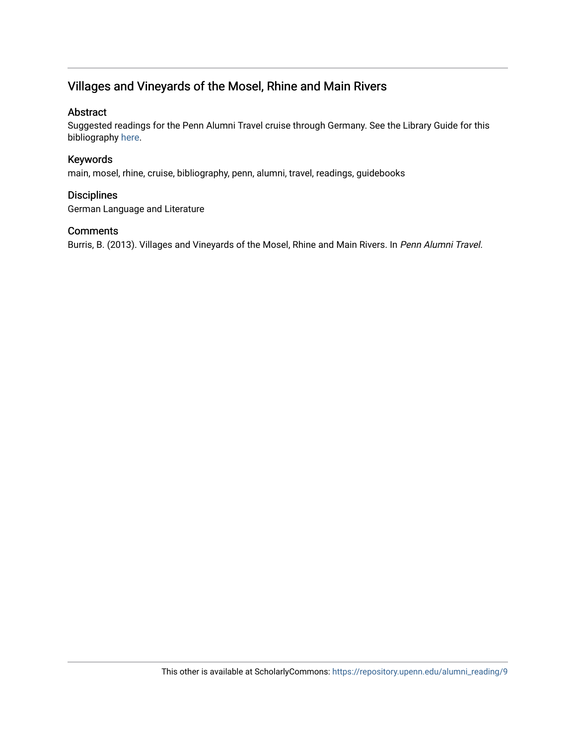# Villages and Vineyards of the Mosel, Rhine and Main Rivers

#### Abstract

Suggested readings for the Penn Alumni Travel cruise through Germany. See the Library Guide for this bibliography [here](http://guides.library.upenn.edu/aecontent.php?pid=507381&sid=4206860).

#### Keywords

main, mosel, rhine, cruise, bibliography, penn, alumni, travel, readings, guidebooks

#### **Disciplines**

German Language and Literature

#### Comments

Burris, B. (2013). Villages and Vineyards of the Mosel, Rhine and Main Rivers. In Penn Alumni Travel.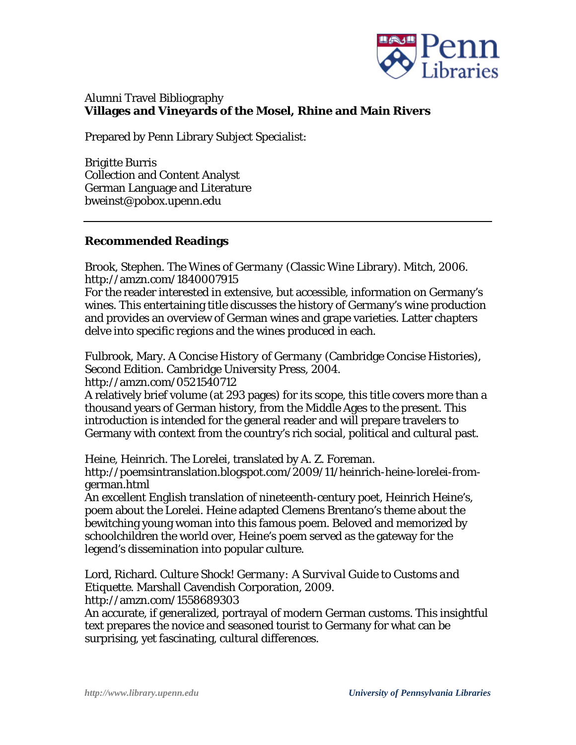

## Alumni Travel Bibliography **Villages and Vineyards of the Mosel, Rhine and Main Rivers**

Prepared by Penn Library Subject Specialist:

Brigitte Burris Collection and Content Analyst German Language and Literature bweinst@pobox.upenn.edu

### **Recommended Readings**

Brook, Stephen. *The Wines of Germany* (Classic Wine Library). Mitch, 2006. http://amzn.com/1840007915

For the reader interested in extensive, but accessible, information on Germany's wines. This entertaining title discusses the history of Germany's wine production and provides an overview of German wines and grape varieties. Latter chapters delve into specific regions and the wines produced in each.

Fulbrook, Mary. *A Concise History of Germany* (Cambridge Concise Histories), Second Edition. Cambridge University Press, 2004. http://amzn.com/0521540712

A relatively brief volume (at 293 pages) for its scope, this title covers more than a thousand years of German history, from the Middle Ages to the present. This introduction is intended for the general reader and will prepare travelers to Germany with context from the country's rich social, political and cultural past.

Heine, Heinrich. The Lorelei, translated by A. Z. Foreman. http://poemsintranslation.blogspot.com/2009/11/heinrich-heine-lorelei-fromgerman.html

An excellent English translation of nineteenth-century poet, Heinrich Heine's, poem about the Lorelei. Heine adapted Clemens Brentano's theme about the bewitching young woman into this famous poem. Beloved and memorized by schoolchildren the world over, Heine's poem served as the gateway for the legend's dissemination into popular culture.

Lord, Richard. *Culture Shock! Germany: A Survival Guide to Customs and Etiquette*. Marshall Cavendish Corporation, 2009. http://amzn.com/1558689303

An accurate, if generalized, portrayal of modern German customs. This insightful text prepares the novice and seasoned tourist to Germany for what can be surprising, yet fascinating, cultural differences.